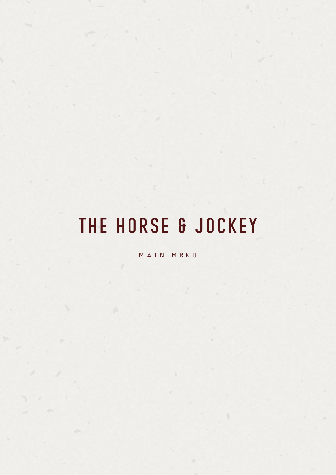# THE HORSE & JOCKEY

MAIN MENU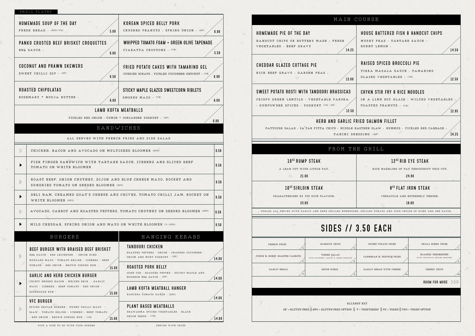|                                                                                                                                                                                                  | MAIN COURSE                                            |                                                                                                                                   |                                                      |  |  |
|--------------------------------------------------------------------------------------------------------------------------------------------------------------------------------------------------|--------------------------------------------------------|-----------------------------------------------------------------------------------------------------------------------------------|------------------------------------------------------|--|--|
| HOMEMADE PIE OF THE DAY<br>HANDCUT CHIPS OR BUTTERY MASH · FRESH<br>VEGETABLES · BEEF GRAVY                                                                                                      | 14.25                                                  | <b>HOUSE BATTERED FISH &amp; HANDCUT CHIPS</b><br>MUSHY PEAS · TARTARE SAUCE ·<br>BURNT LEMON .                                   |                                                      |  |  |
| <b>CHEDDAR GLAZED COTTAGE PIE</b><br>RICH BEEF GRAVY · GARDEN PEAS ·                                                                                                                             | 13.00                                                  | <b>RAISED SPICED BROCCOLI PIE</b><br>TIKKA MASALA SAUCE · TAMARIND<br>GLAZED VEGETABLES . (VE)                                    |                                                      |  |  |
| SWEET POTATO ROSTI WITH TANDOORI BRASSICAS<br>CRISPY GREEN LENTILS · VEGETABLE PAKORA<br>. GUNPOWDER SPICES . YOGHURT (VE + GF)                                                                  | 12.50                                                  | CHYKN STIR FRY & RICE NOODLES<br>IN A LIME SOY GLAZE . WILTED VEGETABLE<br>TOASTED PEANUTS · (VE)                                 |                                                      |  |  |
|                                                                                                                                                                                                  | TAHINI DRESSING . (GF)                                 | HERB AND GARLIC FRIED SALMON FILLET<br>FATTOUSH SALAD · ZA'TAR PITTA CHIPS · MIDDLE EASTERN SLAW · HUMMUS · PICKLED RED CABBAGE · |                                                      |  |  |
|                                                                                                                                                                                                  | FROM THE GRILL                                         |                                                                                                                                   |                                                      |  |  |
| 10 <sup>02</sup> RUMP STEAK<br>A LEAN CUT WITH LITTLE FAT.<br>21.00<br>$\sqrt{2}$                                                                                                                |                                                        | 12 <sup>02</sup> RIB EYE STEAK<br>RICH MARBLING OF FAT THROUGHOUT THIS CUT.<br>24.00                                              |                                                      |  |  |
| 10 <sup>02</sup> SIRLOIN STEAK<br>CHARACTERISED BY ITS RICH FLAVOUR.<br>23.00<br>STEAKS ALL SERVED WITH GARLIC AND HERB GRILLED MUSHROOMS, GRILLED TOMATO AND YOUR CHOICE OF SIDES AND ONE SAUCE |                                                        | 8 <sup>02</sup> FLAT IRON STEAK<br>VERSATILE AND EXTREMELY TENDER.<br>18.00                                                       |                                                      |  |  |
|                                                                                                                                                                                                  | <b>SIDES // 3.50 EACH</b>                              |                                                                                                                                   |                                                      |  |  |
| FRENCH FRIES                                                                                                                                                                                     | HANDCUT CHIPS                                          | SWEET POTATO FRIES                                                                                                                | CHILLI HONEY FRIES                                   |  |  |
| CUMIN & HONEY ROASTED CARROTS                                                                                                                                                                    | TOSSED SALAD<br>WITH RAPESEED, TAHINI & LEMON DRESSING | PARMESAN & TRUFFLE FRIES                                                                                                          | ROASTED TENDERSTEM<br>WITH CHIPOTLE & SESAME DRESSIN |  |  |
| GARLIC BREAD                                                                                                                                                                                     | ONION RINGS                                            | GARLIC BREAD WITH CHEESE<br>VFO                                                                                                   | CHEESY CHIPS                                         |  |  |
|                                                                                                                                                                                                  |                                                        |                                                                                                                                   | <b>ROOM FOR MORE</b>                                 |  |  |
|                                                                                                                                                                                                  |                                                        | ALLERGY KEY<br>GF - GLUTEN FREE    GFO - GLUTEN FREE OPTION    V - VEGETARIAN    VE - VEGAN    VEO - VEGAN OPTION                 |                                                      |  |  |

SERVED WITH FRIES

#### JRSE

|                       | SMALL PLATES                                                                                                                                                      |                                                                                                          |                |                                                                                                                                          |                                              |
|-----------------------|-------------------------------------------------------------------------------------------------------------------------------------------------------------------|----------------------------------------------------------------------------------------------------------|----------------|------------------------------------------------------------------------------------------------------------------------------------------|----------------------------------------------|
|                       | HOMEMADE SOUP OF THE DAY<br>FRESH BREAD . (GFO//VO)<br>5.00                                                                                                       | <b>KOREAN SPICED BELLY PORK</b><br>CRUSHED PEANUTS · SPRING ONION · (GF)                                 | 6.00           | <b>HOMEMADE PIE OF THE DAY</b>                                                                                                           | MAIN COURSE<br><b>HOUSE BATT</b>             |
|                       | PANKO CRUSTED BEEF BRISKET CROQUETTES<br>BBQ SAUCE.<br>6.00                                                                                                       | WHIPPED TOMATO FOAM + GREEN OLIVE TAPENADE<br>CIABATTA CROUTONS . (VE)                                   | 5.50           | HANDCUT CHIPS OR BUTTERY MASH · FRESH<br>VEGETABLES · BEEF GRAVY<br>14.25                                                                | MUSHY PEA<br>BURNT LEM                       |
|                       | COCONUT AND PRAWN SKEWERS<br>SWEET CHILLI DIP . (GF)<br>6.50                                                                                                      | <b>FRIED POTATO CAKES WITH TAMARIND GEL</b><br>CURRIED SCRAPS · PICKLED CUCUMBER KETCHUP · (VE)          | 6.00           | <b>CHEDDAR GLAZED COTTAGE PIE</b><br>RICH BEEF GRAVY · GARDEN PEAS ·<br>13.00                                                            | <b>RAISED SPI</b><br>TIKKA MAS<br>GLAZED VEO |
|                       | <b>ROASTED CHIPOLATAS</b><br>ROSEMARY + NDUJA BUTTER .<br>6.00<br>LAMB KOFTA MEATBALLS                                                                            | STICKY MAPLE GLAZED SWEETCORN RIBLETS<br>SMOKED MAYO . (VE)                                              | 6.00           | SWEET POTATO ROSTI WITH TANDOORI BRASSICAS<br>CRISPY GREEN LENTILS · VEGETABLE PAKORA<br>. GUNPOWDER SPICES . YOGHURT (VE + GF)<br>12.50 | <b>CHYKN STIR</b><br>IN A LIME<br>TOASTED PE |
|                       | PICKLED RED ONION · CUMIN + CORIANDER YOGHURT · (GF)<br>SANDWICHES<br>ALL SERVED WITH FRENCH FRIES AND SIDE SALAD                                                 |                                                                                                          | 6.00           | HERB AND GARLIC FRIED SALMON<br>FATTOUSH SALAD · ZA'TAR PITTA CHIPS · MIDDLE EASTERN SLAW ·                                              | TAHINI DRESSING (GF)                         |
|                       | CHICKEN, BACON AND AVOCADO ON MULTISEED BLOOMER (GFO)                                                                                                             |                                                                                                          | 9.50           |                                                                                                                                          | FROM THE GRILL                               |
|                       | FISH FINGER SANDWICH WITH TARTARE SAUCE, ICEBERG AND SLICED BEEF<br>TOMATO ON WHITE BLOOMER                                                                       |                                                                                                          | 9.50           | 10 <sup>02</sup> RUMP STEAK<br>A LEAN CUT WITH LITTLE FAT.<br>21.00<br>$\sqrt{2}$                                                        | RICH M                                       |
| $\triangleright$      | ROAST BEEF, ONION CHUTNEY, DIJON AND BLUE CHEESE MAYO, ROCKET AND<br>SUNDRIED TOMATO ON SEEDED BLOOMER (GFO)                                                      |                                                                                                          | 9.50           | 1002 SIRLOIN STEAK                                                                                                                       |                                              |
|                       | DELI HAM, CREAMED GOAT'S CHEESE AND CHIVES, TOMATO CHILLI JAM, ROCKET ON<br>WHITE BLOOMER (GFO)                                                                   |                                                                                                          | 9.50           | CHARACTERISED BY ITS RICH FLAVOUR.<br>23.00                                                                                              | V                                            |
| $\triangleright$      | AVOCADO, CARROT AND ROASTED PEPPERS, TOMATO CHUTNEY ON SEEDED BLOOMER (GFO)                                                                                       |                                                                                                          | 9.50           | STEAKS ALL SERVED WITH GARLIC AND HERB GRILLED MUSHROOMS, GRILLED TOMAT                                                                  |                                              |
| ▶                     | MILD CHEDDAR, SPRING ONION AND MAYO ON WHITE BLOOMER (V//GFO)                                                                                                     |                                                                                                          | 9.50           | <b>SIDES // 3.50 EA</b>                                                                                                                  |                                              |
|                       | BURGERS                                                                                                                                                           | HANGING KEBABS                                                                                           |                |                                                                                                                                          |                                              |
| $\triangleright$      | BEEF BURGER WITH BRAISED BEEF BRISKET<br>BBQ SAUCE · RED LEICESTER · ONION RING ·<br>MUSTARD MAYO · TOMATO RELISH · ICEBERG · BEEF                                | <b>TANDOORI CHICKEN</b><br>ROASTED PEPPERS · ONION · CHARRED CUCUMBER ·<br>ONION AND MINT YOGHURT . (GF) | 14.00          | FRENCH FRIES<br>HANDCUT CHIPS<br>TOSSED SALAD<br>CUMIN & HONEY ROASTED CARROTS<br>WITH RAPESEED, TAHINI & LEMON DRESSING                 | SWEET POTA<br>PARMESAN & T                   |
|                       | TOMATO · RED ONION · BROWN COBURG BUN ·<br>15.00<br><b>GARLIC AND HERB CHICKEN BURGER</b>                                                                         | <b>ROASTED PORK BELLY</b><br>CORN COB - ROASTED PEPPER - STICKY MAPLE AND<br>BOURBON BBQ SAUCE . (GF)    | $\sqrt{14.00}$ | <b>GARLIC BREAD</b><br>ONION RINGS                                                                                                       | GARLIC BREAD                                 |
| $\blacktriangleright$ | CRISPY SMOKED BACON · MELTED BRIE · GARLIC<br>MAYO · ICEBERG · BEEF TOMATO · RED ONION ·<br>SOURDOUGH BUN .<br>15.00                                              | LAMB KOFTA MEATBALL HANGER<br>HARISSA TOMATO SAUCE · (GFO)                                               | 14.00          |                                                                                                                                          |                                              |
| $\rightarrow$         | <b>VFC BURGER</b><br>SPICED SEITAN BURGER · SWEET CHILLI MAYO ·<br>SLAW · TOMATO RELISH · ICEBERG · BEEF TOMATO<br>- RED ONION - BROWN COBURG BUN - (VE)<br>15.00 | PLANT BASED MEATBALLS<br>SHAWARMA SPICED VEGETABLES · BLACK<br>ONION SEEDS . (VE)                        | 14.00          | GF - GLUTEN FREE   GFO - GLUTEN FREE OPTION   V - VEGETARIAN   \                                                                         | ALLERGY KEY                                  |

## house battered fish & handcut chips

14.50

12.50

12.95

### chykn stir fry & rice noodles

IN A LIME SOY GLAZE . WILTED VEGETABLES<br>TOASTED PEANUTS . (VE)

#### D SALMON FILLET

FERN SLAW  $\cdot$  HUMMUS  $\cdot$  PICKLED RED CABBAGE .  $\sqrt{\frac{14.25}{14.25}}$ 

#### 12<sup>02</sup> RIB EYE STEAK

#### 8<sup>0Z</sup> FLAT IRON STEAK

## 50 EACH

SWEET POTATO FRIES ARE CHILLI HONEY FRIES GARLIC BREAD WITH CHEESE CHEESY CHIPS ve ve ve v  $\sqrt{v}$  ve vertex  $\sqrt{v}$ ve $\sqrt{v_{\rm E}}$  veo vectors and vectors of vectors  $\sqrt{v_{\rm E}}$ ROOM FOR MORE  $\rhd \triangleright \triangleright$